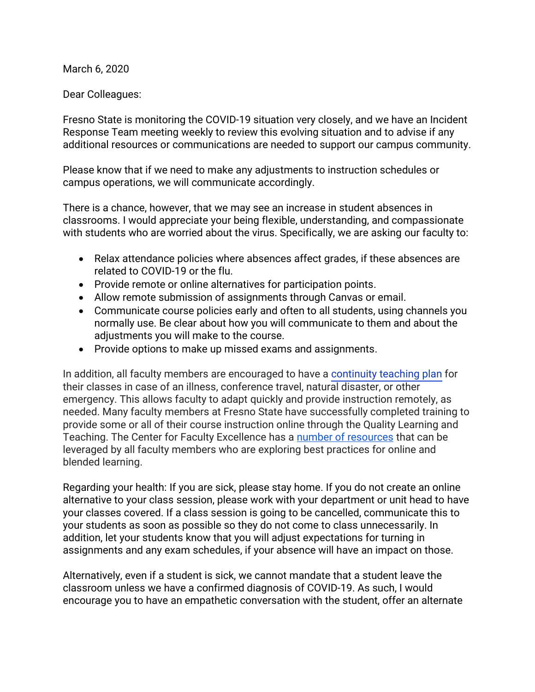March 6, 2020

Dear Colleagues:

Fresno State is monitoring the COVID-19 situation very closely, and we have an Incident Response Team meeting weekly to review this evolving situation and to advise if any additional resources or communications are needed to support our campus community.

Please know that if we need to make any adjustments to instruction schedules or campus operations, we will communicate accordingly.

There is a chance, however, that we may see an increase in student absences in classrooms. I would appreciate your being flexible, understanding, and compassionate with students who are worried about the virus. Specifically, we are asking our faculty to:

- Relax attendance policies where absences affect grades, if these absences are related to COVID-19 or the flu.
- Provide remote or online alternatives for participation points.
- Allow remote submission of assignments through Canvas or email.
- Communicate course policies early and often to all students, using channels you normally use. Be clear about how you will communicate to them and about the adjustments you will make to the course.
- Provide options to make up missed exams and assignments.

In addition, all faculty members are encouraged to have a [continuity teaching plan](https://docs.google.com/document/d/1QXC6eYLMnwz0kEpa1bAEmE04CdYmbawxMUjMlO7iVxo/edit?usp=sharing) for their classes in case of an illness, conference travel, natural disaster, or other emergency. This allows faculty to adapt quickly and provide instruction remotely, as needed. Many faculty members at Fresno State have successfully completed training to provide some or all of their course instruction online through the Quality Learning and Teaching. The Center for Faculty Excellence has a [number of resources](http://fresnostate.edu/academics/cfe/continuity/) that can be leveraged by all faculty members who are exploring best practices for online and blended learning.

Regarding your health: If you are sick, please stay home. If you do not create an online alternative to your class session, please work with your department or unit head to have your classes covered. If a class session is going to be cancelled, communicate this to your students as soon as possible so they do not come to class unnecessarily. In addition, let your students know that you will adjust expectations for turning in assignments and any exam schedules, if your absence will have an impact on those.

Alternatively, even if a student is sick, we cannot mandate that a student leave the classroom unless we have a confirmed diagnosis of COVID-19. As such, I would encourage you to have an empathetic conversation with the student, offer an alternate